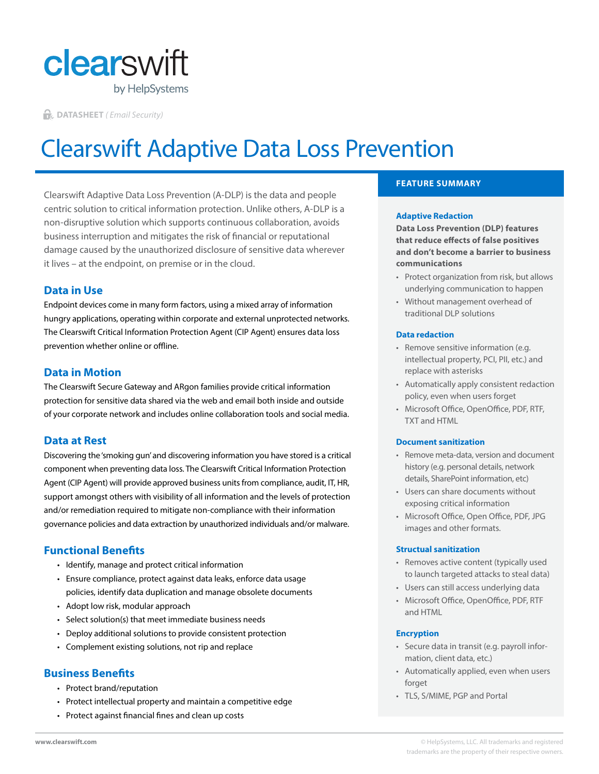

**DATASHEET** *( Email Security)*

# Clearswift Adaptive Data Loss Prevention

Clearswift Adaptive Data Loss Prevention (A-DLP) is the data and people centric solution to critical information protection. Unlike others, A-DLP is a non-disruptive solution which supports continuous collaboration, avoids business interruption and mitigates the risk of financial or reputational damage caused by the unauthorized disclosure of sensitive data wherever it lives – at the endpoint, on premise or in the cloud.

# **Data in Use**

Endpoint devices come in many form factors, using a mixed array of information hungry applications, operating within corporate and external unprotected networks. The Clearswift Critical Information Protection Agent (CIP Agent) ensures data loss prevention whether online or offline.

## **Data in Motion**

The Clearswift Secure Gateway and ARgon families provide critical information protection for sensitive data shared via the web and email both inside and outside of your corporate network and includes online collaboration tools and social media.

## **Data at Rest**

Discovering the 'smoking gun' and discovering information you have stored is a critical component when preventing data loss. The Clearswift Critical Information Protection Agent (CIP Agent) will provide approved business units from compliance, audit, IT, HR, support amongst others with visibility of all information and the levels of protection and/or remediation required to mitigate non-compliance with their information governance policies and data extraction by unauthorized individuals and/or malware.

# **Functional Benefits**

- Identify, manage and protect critical information
- Ensure compliance, protect against data leaks, enforce data usage policies, identify data duplication and manage obsolete documents
- Adopt low risk, modular approach
- Select solution(s) that meet immediate business needs
- Deploy additional solutions to provide consistent protection
- Complement existing solutions, not rip and replace

## **Business Benefits**

- Protect brand/reputation
- Protect intellectual property and maintain a competitive edge
- Protect against financial fines and clean up costs

## **FEATURE SUMMARY**

#### **Adaptive Redaction**

**Data Loss Prevention (DLP) features that reduce effects of false positives and don't become a barrier to business communications**

- Protect organization from risk, but allows underlying communication to happen
- Without management overhead of traditional DLP solutions

#### **Data redaction**

- Remove sensitive information (e.g. intellectual property, PCI, PII, etc.) and replace with asterisks
- Automatically apply consistent redaction policy, even when users forget
- Microsoft Office, OpenOffice, PDF, RTF, TXT and HTML

#### **Document sanitization**

- Remove meta-data, version and document history (e.g. personal details, network details, SharePoint information, etc)
- Users can share documents without exposing critical information
- Microsoft Office, Open Office, PDF, JPG images and other formats.

#### **Structual sanitization**

- Removes active content (typically used to launch targeted attacks to steal data)
- Users can still access underlying data
- Microsoft Office, OpenOffice, PDF, RTF and HTML

#### **Encryption**

- Secure data in transit (e.g. payroll information, client data, etc.)
- Automatically applied, even when users forget
- TLS, S/MIME, PGP and Portal